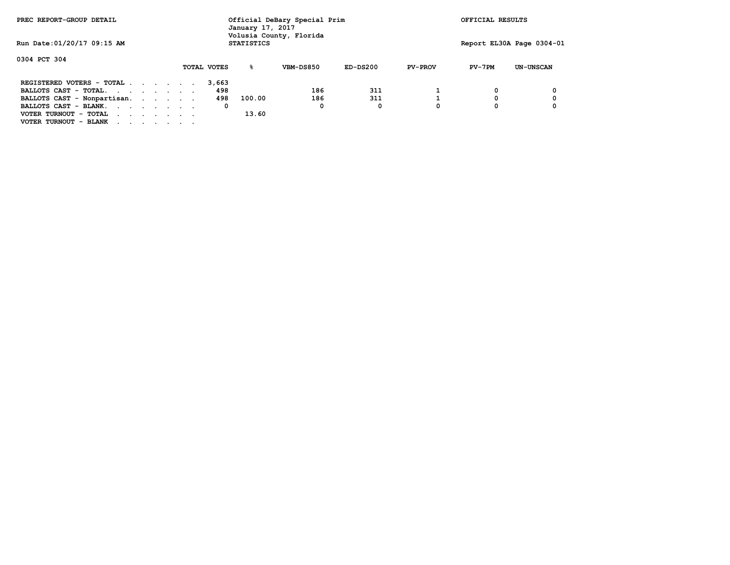| PREC REPORT-GROUP DETAIL    |             | January 17, 2017  | Official DeBary Special Prim<br>Volusia County, Florida |            | OFFICIAL RESULTS<br>Report EL30A Page 0304-01 |          |                  |
|-----------------------------|-------------|-------------------|---------------------------------------------------------|------------|-----------------------------------------------|----------|------------------|
| Run Date: 01/20/17 09:15 AM |             | <b>STATISTICS</b> |                                                         |            |                                               |          |                  |
| 0304 PCT 304                |             |                   |                                                         |            |                                               |          |                  |
|                             | TOTAL VOTES | ዱ                 | VBM-DS850                                               | $ED-DS200$ | <b>PV-PROV</b>                                | $PV-7PM$ | <b>UN-UNSCAN</b> |
| REGISTERED VOTERS - TOTAL   |             | 3,663             |                                                         |            |                                               |          |                  |
| BALLOTS CAST - TOTAL.       |             | 498               | 186                                                     | 311        |                                               |          | 0                |
| BALLOTS CAST - Nonpartisan. |             | 498<br>100.00     | 186                                                     | 311        |                                               | 0        | 0                |
| BALLOTS CAST - BLANK.       |             | 0                 | 0                                                       | O          | 0                                             | 0        | 0                |
| VOTER TURNOUT - TOTAL       |             | 13.60             |                                                         |            |                                               |          |                  |
| VOTER TURNOUT - BLANK       |             |                   |                                                         |            |                                               |          |                  |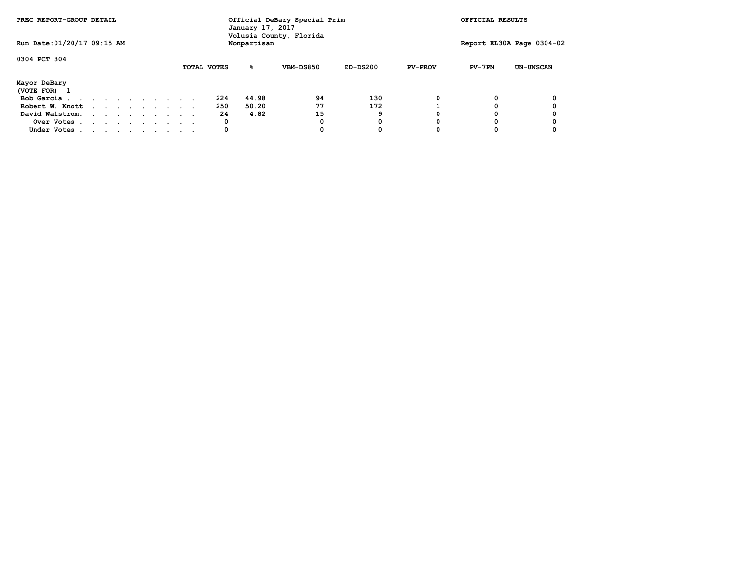| PREC REPORT-GROUP DETAIL     |  |  |  |  |  |  |             |  | January 17, 2017 | Official DeBary Special Prim<br>Volusia County, Florida |           |            | OFFICIAL RESULTS |          |                  |
|------------------------------|--|--|--|--|--|--|-------------|--|------------------|---------------------------------------------------------|-----------|------------|------------------|----------|------------------|
| Run Date: 01/20/17 09:15 AM  |  |  |  |  |  |  | Nonpartisan |  |                  | Report EL30A Page 0304-02                               |           |            |                  |          |                  |
| 0304 PCT 304                 |  |  |  |  |  |  |             |  | TOTAL VOTES      | ዱ                                                       | VBM-DS850 | $ED-DS200$ | <b>PV-PROV</b>   | $PV-7PM$ | <b>UN-UNSCAN</b> |
| Mayor DeBary<br>(VOTE FOR) 1 |  |  |  |  |  |  |             |  |                  |                                                         |           |            |                  |          |                  |
| Bob Garcia                   |  |  |  |  |  |  |             |  | 224              | 44.98                                                   | 94        | 130        | ٥                |          | 0                |
| Robert W. Knott              |  |  |  |  |  |  |             |  | 250              | 50.20                                                   | 77        | 172        |                  |          | 0                |
| David Walstrom.              |  |  |  |  |  |  |             |  | 24               | 4.82                                                    | 15        | 9          |                  |          | 0                |
| Over Votes                   |  |  |  |  |  |  |             |  | 0                |                                                         |           | Ω          |                  |          |                  |
| Under Votes                  |  |  |  |  |  |  |             |  | 0                |                                                         |           | 0          |                  |          |                  |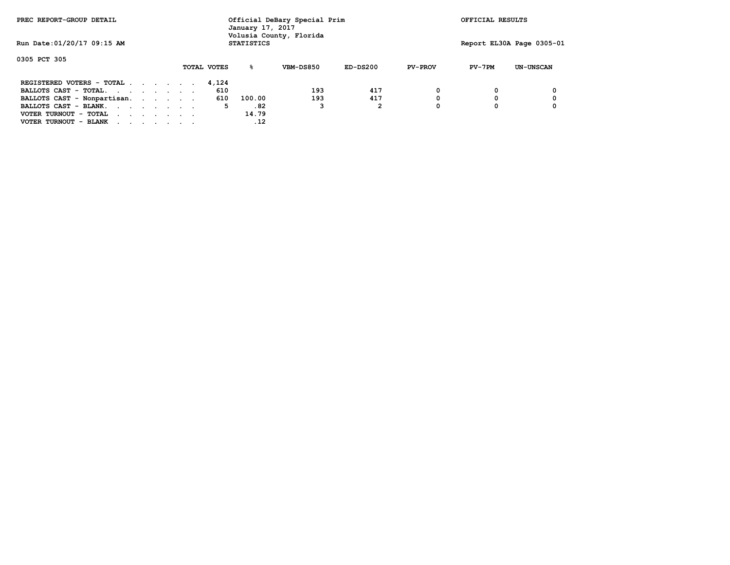| PREC REPORT-GROUP DETAIL<br>Run Date: 01/20/17 09:15 AM |             | January 17, 2017<br><b>STATISTICS</b> | Official DeBary Special Prim<br>Volusia County, Florida |            | OFFICIAL RESULTS<br>Report EL30A Page 0305-01 |          |                  |
|---------------------------------------------------------|-------------|---------------------------------------|---------------------------------------------------------|------------|-----------------------------------------------|----------|------------------|
| 0305 PCT 305                                            | TOTAL VOTES | ዱ                                     | VBM-DS850                                               | $ED-DS200$ | <b>PV-PROV</b>                                | $PV-7PM$ | <b>UN-UNSCAN</b> |
| REGISTERED VOTERS - TOTAL                               | 4.124       |                                       |                                                         |            |                                               |          |                  |
| BALLOTS CAST - TOTAL.                                   |             | 610                                   | 193                                                     | 417        | 0                                             | 0        | 0                |
| BALLOTS CAST - Nonpartisan.                             |             | 100.00<br>610                         | 193                                                     | 417        | 0                                             | 0        | 0                |
| BALLOTS CAST - BLANK.                                   |             | .82<br>5                              |                                                         |            | 0                                             |          | 0                |
| VOTER TURNOUT - TOTAL                                   |             | 14.79                                 |                                                         |            |                                               |          |                  |
| VOTER TURNOUT - BLANK                                   |             | . 12                                  |                                                         |            |                                               |          |                  |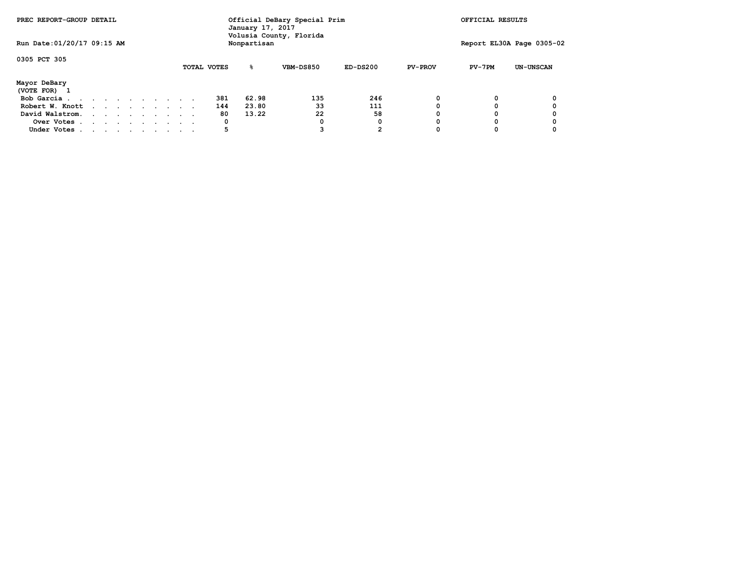| PREC REPORT-GROUP DETAIL    |  |  |  |  |  |  |             |  | January 17, 2017 | Official DeBary Special Prim<br>Volusia County, Florida |           |            | OFFICIAL RESULTS |          |                  |
|-----------------------------|--|--|--|--|--|--|-------------|--|------------------|---------------------------------------------------------|-----------|------------|------------------|----------|------------------|
| Run Date: 01/20/17 09:15 AM |  |  |  |  |  |  | Nonpartisan |  |                  | Report EL30A Page 0305-02                               |           |            |                  |          |                  |
| 0305 PCT 305                |  |  |  |  |  |  |             |  | TOTAL VOTES      | ዱ                                                       | VBM-DS850 | $ED-DS200$ | <b>PV-PROV</b>   | $PV-7PM$ | <b>UN-UNSCAN</b> |
|                             |  |  |  |  |  |  |             |  |                  |                                                         |           |            |                  |          |                  |
| Mayor DeBary                |  |  |  |  |  |  |             |  |                  |                                                         |           |            |                  |          |                  |
| (VOTE FOR) 1                |  |  |  |  |  |  |             |  |                  |                                                         |           |            |                  |          |                  |
| Bob Garcia                  |  |  |  |  |  |  |             |  | 381              | 62.98                                                   | 135       | 246        | ٥                |          | $\Omega$         |
| Robert W. Knott             |  |  |  |  |  |  |             |  | 144              | 23.80                                                   | 33        | 111        |                  |          | 0                |
| David Walstrom.             |  |  |  |  |  |  |             |  | 80               | 13.22                                                   | 22        | 58         |                  |          | 0                |
| Over Votes                  |  |  |  |  |  |  |             |  | 0                |                                                         |           | 0          |                  |          |                  |
| Under Votes                 |  |  |  |  |  |  |             |  | 5                |                                                         |           |            |                  |          | 0                |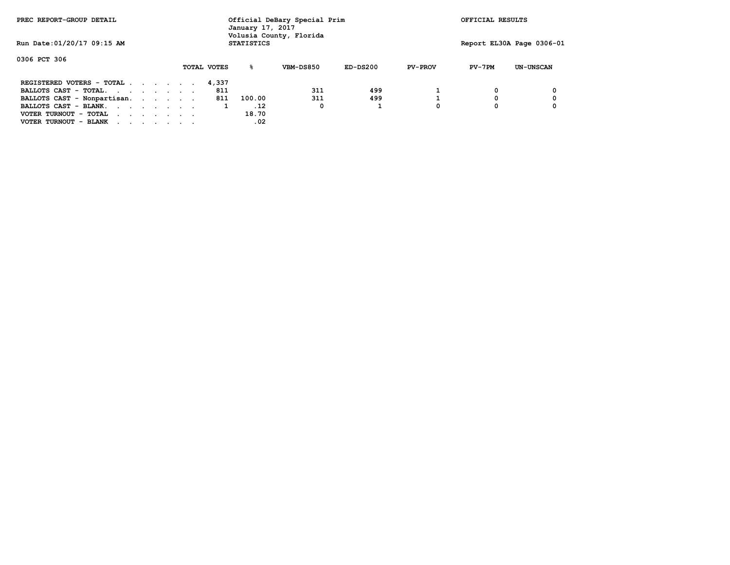| PREC REPORT-GROUP DETAIL<br>Run Date: 01/20/17 09:15 AM |             | January 17, 2017<br><b>STATISTICS</b> | Official DeBary Special Prim<br>Volusia County, Florida | OFFICIAL RESULTS<br>Report EL30A Page 0306-01 |                |          |                  |
|---------------------------------------------------------|-------------|---------------------------------------|---------------------------------------------------------|-----------------------------------------------|----------------|----------|------------------|
| 0306 PCT 306                                            | TOTAL VOTES | ዱ                                     | VBM-DS850                                               | $ED-DS200$                                    | <b>PV-PROV</b> | $PV-7PM$ | <b>UN-UNSCAN</b> |
| REGISTERED VOTERS - TOTAL                               | 4,337       |                                       |                                                         |                                               |                |          |                  |
| BALLOTS CAST - TOTAL.                                   | 811         |                                       | 311                                                     | 499                                           |                | 0        | 0                |
| BALLOTS CAST - Nonpartisan.                             | 811         | 100.00                                | 311                                                     | 499                                           |                | 0        | 0                |
| BALLOTS CAST - BLANK.                                   |             | .12<br>1                              | 0                                                       |                                               | 0              |          | 0                |
| VOTER TURNOUT - TOTAL                                   |             | 18.70                                 |                                                         |                                               |                |          |                  |
| VOTER TURNOUT - BLANK                                   |             | .02                                   |                                                         |                                               |                |          |                  |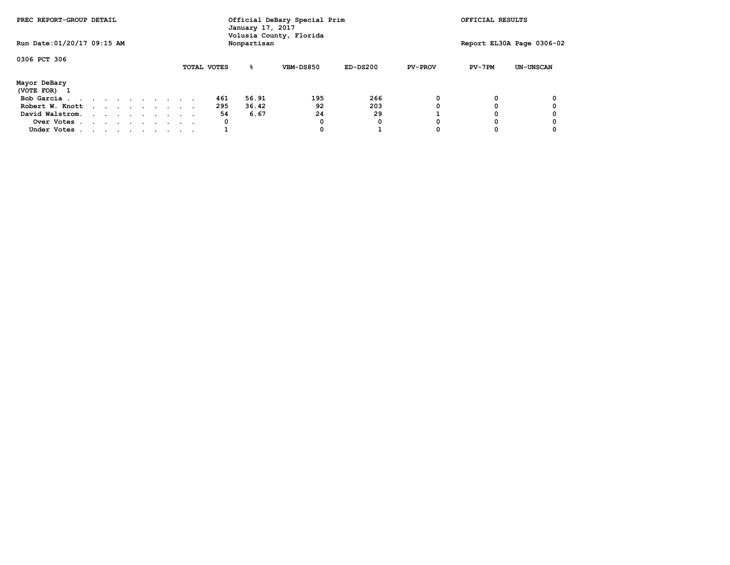| PREC REPORT-GROUP DETAIL    |  |  |  |  |  |  |  |  | January 17, 2017 | Official DeBary Special Prim<br>Volusia County, Florida |           | OFFICIAL RESULTS          |                |          |                  |
|-----------------------------|--|--|--|--|--|--|--|--|------------------|---------------------------------------------------------|-----------|---------------------------|----------------|----------|------------------|
| Run Date: 01/20/17 09:15 AM |  |  |  |  |  |  |  |  | Nonpartisan      |                                                         |           | Report EL30A Page 0306-02 |                |          |                  |
| 0306 PCT 306                |  |  |  |  |  |  |  |  | TOTAL VOTES      | ዱ                                                       | VBM-DS850 | $ED-DS200$                | <b>PV-PROV</b> | $PV-7PM$ | <b>UN-UNSCAN</b> |
| Mayor DeBary                |  |  |  |  |  |  |  |  |                  |                                                         |           |                           |                |          |                  |
| (VOTE FOR) 1                |  |  |  |  |  |  |  |  |                  |                                                         |           |                           |                |          |                  |
| Bob Garcia                  |  |  |  |  |  |  |  |  | 461              | 56.91                                                   | 195       | 266                       | ٥              |          | $\Omega$         |
| Robert W. Knott             |  |  |  |  |  |  |  |  | 295              | 36.42                                                   | 92        | 203                       |                |          | 0                |
| David Walstrom.             |  |  |  |  |  |  |  |  | 54               | 6.67                                                    | 24        | 29                        |                |          | 0                |
| Over Votes                  |  |  |  |  |  |  |  |  | 0                |                                                         |           | 0                         |                |          |                  |
| Under Votes                 |  |  |  |  |  |  |  |  |                  |                                                         |           |                           |                |          | 0                |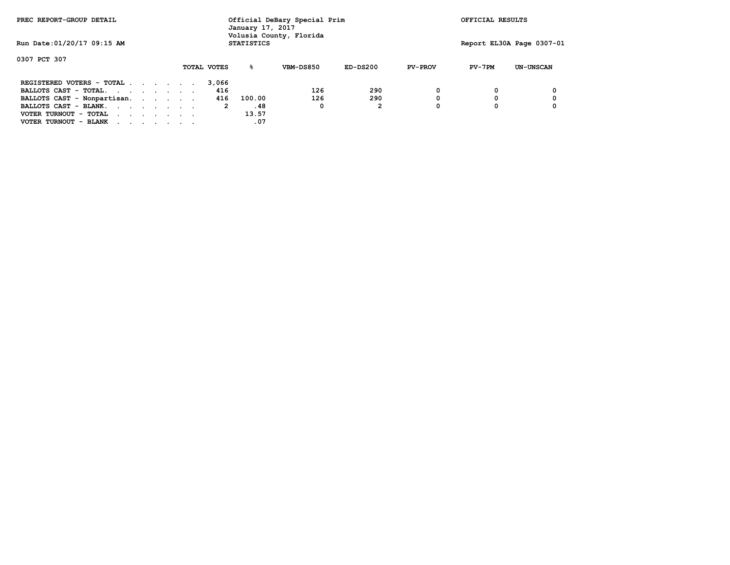| PREC REPORT-GROUP DETAIL          |                    | Official DeBary Special Prim<br>January 17, 2017<br>Volusia County, Florida |            | OFFICIAL RESULTS          |          |                  |
|-----------------------------------|--------------------|-----------------------------------------------------------------------------|------------|---------------------------|----------|------------------|
| Run Date: 01/20/17 09:15 AM       |                    | <b>STATISTICS</b>                                                           |            | Report EL30A Page 0307-01 |          |                  |
| 0307 PCT 307                      |                    |                                                                             |            |                           |          |                  |
|                                   | <b>TOTAL VOTES</b> | VBM-DS850<br>ዱ                                                              | $ED-DS200$ | <b>PV-PROV</b>            | $PV-7PM$ | <b>UN-UNSCAN</b> |
| REGISTERED VOTERS - TOTAL         | 3,066              |                                                                             |            |                           |          |                  |
| BALLOTS CAST - TOTAL.             | 416                | 126                                                                         | 290        | 0                         |          | 0                |
| BALLOTS CAST - Nonpartisan.       | 416                | 126<br>100.00                                                               | 290        | 0                         | 0        | 0                |
| BALLOTS CAST - BLANK.             | 2                  | .48<br>0                                                                    | 2          |                           |          | 0                |
| VOTER TURNOUT - TOTAL             |                    | 13.57                                                                       |            |                           |          |                  |
| VOTER TURNOUT - BLANK<br>$\cdots$ |                    | .07                                                                         |            |                           |          |                  |